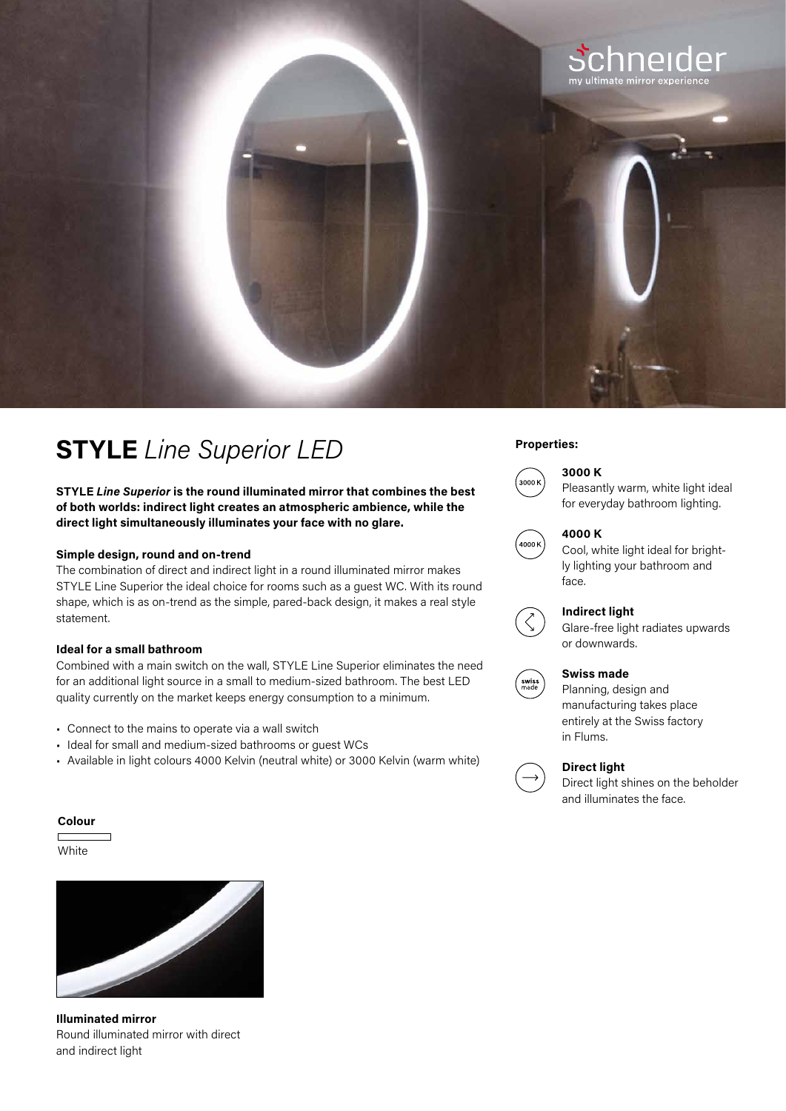

## **Properties: STYLE** *Line Superior LED*

**STYLE** *Line Superior* **is the round illuminated mirror that combines the best of both worlds: indirect light creates an atmospheric ambience, while the direct light simultaneously illuminates your face with no glare.**

### **Simple design, round and on-trend**

The combination of direct and indirect light in a round illuminated mirror makes STYLE Line Superior the ideal choice for rooms such as a guest WC. With its round shape, which is as on-trend as the simple, pared-back design, it makes a real style statement.

### **Ideal for a small bathroom**

Combined with a main switch on the wall, STYLE Line Superior eliminates the need for an additional light source in a small to medium-sized bathroom. The best LED quality currently on the market keeps energy consumption to a minimum.

- Connect to the mains to operate via a wall switch
- Ideal for small and medium-sized bathrooms or guest WCs
- Available in light colours 4000 Kelvin (neutral white) or 3000 Kelvin (warm white)

### **3000 K**



Pleasantly warm, white light ideal for everyday bathroom lighting.



#### **4000 K**

Cool, white light ideal for brightly lighting your bathroom and face.



Glare-free light radiates upwards or downwards.

#### **Swiss made**



Planning, design and manufacturing takes place entirely at the Swiss factory in Flums.



### **Direct light**

Direct light shines on the beholder and illuminates the face.

#### **Colour**

**White** 



**Illuminated mirror**  Round illuminated mirror with direct and indirect light